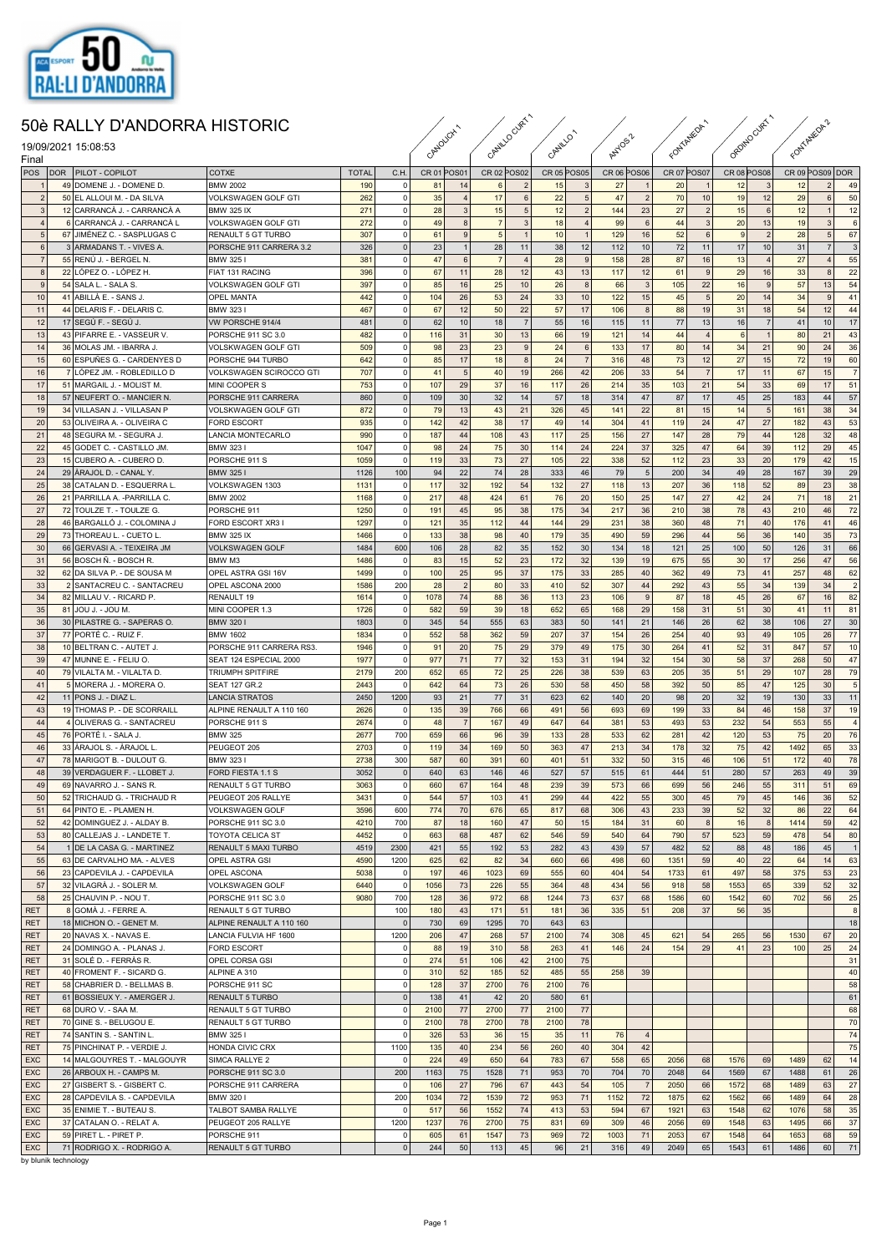

## 50è RALLY D'ANDORRA HISTORIC

| 50è RALLY D'ANDORRA HISTORIC<br>19/09/2021 15:08:53<br>Final |  |                                                            |                                               | CANOLCHI     |                 | CANILLOCURY<br>CANILLO' |                |                | ANYOSZ                   |             |                | FONTALEDA   |                | ORDINO CURTA       |                | FONTANEOR!         |                      |                 |                |                |
|--------------------------------------------------------------|--|------------------------------------------------------------|-----------------------------------------------|--------------|-----------------|-------------------------|----------------|----------------|--------------------------|-------------|----------------|-------------|----------------|--------------------|----------------|--------------------|----------------------|-----------------|----------------|----------------|
| POS                                                          |  | DOR   PILOT - COPILOT                                      | COTXE                                         | <b>TOTAL</b> | C.H.            | CR 01 POS01             |                | CR 02 POS02    |                          | CR 05 POS05 |                | CR 06 POS06 |                | <b>CR 07 POS07</b> |                | <b>CR 08 POS08</b> |                      | CR 09 POS09 DOR |                |                |
|                                                              |  | 49 DOMENE J. - DOMENE D.                                   | <b>BMW 2002</b>                               | 190          | 0               | 81                      | 14             | 6 <sup>1</sup> | $\overline{\phantom{0}}$ | 15          | 3              | 27          |                | 20                 | $\mathbf{1}$   | 12                 | 3                    | 12              | $\overline{2}$ | 49             |
| $\overline{2}$                                               |  | 50 EL ALLOUI M. - DA SILVA                                 | <b>VOLKSWAGEN GOLF GTI</b>                    | 262          | 0               | 35                      | $\overline{4}$ | 17             | 6                        | 22          | 5              | 47          | $\overline{2}$ | 70                 | 10             | 19                 | 12                   | 29              | 6              | 50             |
| $\mathbf{3}$                                                 |  | 12 CARRANCÀ J. - CARRANCÀ A                                | <b>BMW 325 IX</b>                             | 271          | 0               | 28                      | 3              | 15             | 5 <sub>5</sub>           | 12          | $\overline{2}$ | 144         | 23             | 27                 | $\overline{2}$ | 15                 | 6                    | 12              | 1              | 12             |
| $\overline{4}$                                               |  | 6 CARRANCÀ J. - CARRANCÀ L                                 | <b>VOLKSWAGEN GOLF GTI</b>                    | 272          | 0               | 49                      | $\bf8$         | $\overline{7}$ | $\overline{3}$           | 18          | $\overline{4}$ | 99          | 6              | 44                 | $\mathbf{3}$   | 20                 | 13                   | 19              | $\mathbf{3}$   | 6              |
| $\sqrt{5}$                                                   |  | 67 JIMÉNEZ C. - SASPLUGAS C                                | RENAULT 5 GT TURBO                            | 307          | 0               | 61                      | 9              | 5 <sub>5</sub> | $\overline{1}$           | 10          | $\overline{1}$ | 129         | 16             | 52                 | 6              | 9                  | $\overline{2}$       | 28              | 5 <sub>5</sub> | 67             |
| $6\phantom{a}$                                               |  | 3 ARMADANS T. - VIVES A.                                   | PORSCHE 911 CARRERA 3.2                       | 326          | 0               | 23                      | $\mathbf{1}$   | 28             | 11                       | 38          | 12             | 112         | 10             | 72                 | 11             | 17                 | 10                   | 31              | $\overline{7}$ | 3              |
| $\overline{7}$                                               |  | 55 RENÚ J. - BERGEL N.                                     | <b>BMW 3251</b>                               | 381          | 0               | 47                      | 6              | $\overline{7}$ | $\overline{4}$           | 28          | 9              | 158         | 28             | 87                 | 16             | 13                 | $\overline{4}$       | 27              | $\overline{4}$ | 55             |
| $\boldsymbol{8}$                                             |  | 22 LÓPEZ O. - LÓPEZ H.                                     | FIAT 131 RACING                               | 396          | 0               | 67                      | 11             | 28             | 12                       | 43          | 13             | 117         | 12             | 61                 | 9              | 29                 | 16                   | 33              | 8 <sup>1</sup> | 22             |
| 9                                                            |  | 54 SALA L. - SALA S                                        | <b>VOLKSWAGEN GOLF GTI</b>                    | 397          | 0               | 85                      | 16             | 25             | 10                       | 26          | 8              | 66          | 3              | 105                | 22             | 16                 | 9                    | 57              | 13             | 54             |
| 10                                                           |  | 41 ABILLA E. - SANS J                                      | <b>OPEL MANTA</b>                             | 442          | 0               | 104                     | 26             | 53             | 24                       | 33<br>57    | 10             | 122         | 15             | 45                 | $\,$ 5 $\,$    | 20                 | 14                   | 34              | 9              | 41             |
| 11<br>12                                                     |  | 44 DELARIS F. - DELARIS C.<br>17 SEGÚ F. - SEGÚ J.         | <b>BMW 3231</b><br>VW PORSCHE 914/4           | 467<br>481   | 0 <br> 0        | 67<br>62                | 12<br>10       | 50<br>18       | 22<br>$\overline{7}$     | 55          | 17<br>16       | 106<br>115  | 8<br>11        | 88<br>77           | 19<br>13       | 31<br>16           | 18<br>$\overline{7}$ | 54<br>41        | 12<br>10       | 44<br>17       |
| 13                                                           |  | 43 PIFARRE E. - VASSEUR V.                                 | PORSCHE 911 SC 3.0                            | 482          | 0               | 116                     | 31             | 30             | 13                       | 66          | 19             | 121         | 14             | 44                 | $\overline{4}$ | 6                  |                      | 80              | 21             | 43             |
| 14                                                           |  | 36 MOLAS JM. - IBARRA J.                                   | <b>VOLSKWAGEN GOLF GTI</b>                    | 509          | 0               | 98                      | 23             | 23             | 9                        | 24          | 6              | 133         | 17             | 80                 | 14             | 34                 | 21                   | 90              | 24             | 36             |
| 15                                                           |  | 60 ESPUÑES G. - CARDENYES D                                | PORSCHE 944 TURBO                             | 642          | 0               | 85                      | 17             | 18             | $\bf8$                   | 24          | $\overline{7}$ | 316         | 48             | 73                 | 12             | 27                 | 15                   | 72              | 19             | 60             |
| 16                                                           |  | 7 LÓPEZ JM. - ROBLEDILLO D                                 | VOLKSWAGEN SCIROCCO GTI                       | 707          | 0               | 41                      | 5              | 40             | 19                       | 266         | 42             | 206         | 33             | 54                 | $\overline{7}$ | 17                 | 11                   | 67              | 15             | $\overline{7}$ |
| 17                                                           |  | 51 MARGAIL J. - MOLIST M                                   | MINI COOPER S                                 | 753          | 0               | 107                     | 29             | 37             | 16                       | 117         | 26             | 214         | 35             | 103                | 21             | 54                 | 33                   | 69              | 17             | 51             |
| 18                                                           |  | 57 NEUFERT O. - MANCIER N.                                 | PORSCHE 911 CARRERA                           | 860          | 0               | 109                     | 30             | 32             | 14                       | 57          | 18             | 314         | 47             | 87                 | 17             | 45                 | 25                   | 183             | 44             | 57             |
| 19                                                           |  | 34 VILLASAN J. - VILLASAN P                                | <b>VOLSKWAGEN GOLF GTI</b>                    | 872          | 0               | 79                      | 13             | 43             | 21                       | 326         | 45             | 141         | 22             | 81                 | 15             | 14                 | 5                    | 161             | 38             | 34             |
| 20                                                           |  | 53 OLIVEIRA A. - OLIVEIRA C                                | <b>FORD ESCORT</b>                            | 935          | 0               | 142                     | 42             | 38             | 17                       | 49          | 14             | 304         | 41             | 119                | 24             | 47                 | 27                   | 182             | 43             | 53             |
| 21                                                           |  | 48 SEGURA M. - SEGURA J.                                   | <b>LANCIA MONTECARLO</b>                      | 990          | 0               | 187                     | 44             | 108            | 43                       | 117         | 25             | 156         | 27             | 147                | 28             | 79                 | 44                   | 128             | 32             | 48             |
| 22                                                           |  | 45 GODET C. - CASTILLO JM.                                 | BMW 3231                                      | 1047         | 0               | 98                      | 24             | 75             | 30                       | 114         | 24             | 224         | 37             | 325                | 47             | 64                 | 39                   | 112             | 29             | 45             |
| 23                                                           |  | 15 CUBERO A. - CUBERO D.                                   | PORSCHE 911 S                                 | 1059         | $\circ$         | 119                     | 33             | 73             | 27                       | 105         | 22             | 338         | 52             | 112                | 23             | 33                 | 20                   | 179             | 42             | 15             |
| 24                                                           |  | 29 ARAJOL D. - CANAL Y.                                    | <b>BMW 3251</b>                               | 1126         | 100             | 94                      | 22             | 74             | 28                       | 333         | 46             | 79          | 5              | 200                | 34             | 49                 | 28                   | 167             | 39             | 29             |
| 25<br>26                                                     |  | 38 CATALAN D. - ESQUERRA L<br>21 PARRILLA A. - PARRILLA C. | VOLKSWAGEN 1303<br><b>BMW 2002</b>            | 1131<br>1168 | 0 <br> 0        | 117<br>217              | 32<br>48       | 192<br>424     | 54<br>61                 | 132<br>76   | 27<br>20       | 118<br>150  | 13<br>25       | 207<br>147         | 36<br>27       | 118<br>42          | 52<br>24             | 89<br>71        | 23<br>18       | 38<br>21       |
| 27                                                           |  | 72 TOULZE T. - TOULZE G.                                   | PORSCHE 911                                   | 1250         | 0               | 191                     | 45             | 95             | 38                       | 175         | 34             | 217         | 36             | 210                | 38             | 78                 | 43                   | 210             | 46             | 72             |
| 28                                                           |  | 46 BARGALLÓ J. - COLOMINA J                                | FORD ESCORT XR3                               | 1297         | 0               | 121                     | 35             | 112            | 44                       | 144         | 29             | 231         | 38             | 360                | 48             | 71                 | 40                   | 176             | 41             | 46             |
| 29                                                           |  | 73 THOREAU L. - CUETO L                                    | <b>BMW 325 IX</b>                             | 1466         | $\circ$         | 133                     | 38             | 98             | 40                       | 179         | 35             | 490         | 59             | 296                | 44             | 56                 | 36                   | 140             | 35             | 73             |
| 30                                                           |  | 66 GERVASI A. - TEIXEIRA JM                                | <b>VOLKSWAGEN GOLF</b>                        | 1484         | 600             | 106                     | 28             | 82             | 35                       | 152         | 30             | 134         | 18             | 121                | 25             | 100                | 50                   | 126             | 31             | 66             |
| 31                                                           |  | 56 BOSCH Ñ. - BOSCH R.                                     | BMW M3                                        | 1486         | 0               | 83                      | 15             | 52             | 23                       | 172         | 32             | 139         | 19             | 675                | 55             | 30                 | 17                   | 256             | 47             | 56             |
| 32                                                           |  | 62 DA SILVA P. - DE SOUSA M                                | <b>OPEL ASTRA GSI 16V</b>                     | 1499         | 0               | 100                     | 25             | 95             | 37                       | 175         | 33             | 285         | 40             | 362                | 49             | 73                 | 41                   | 257             | 48             | 62             |
| 33                                                           |  | 2 SANTACREU C. - SANTACREU                                 | <b>OPEL ASCONA 2000</b>                       | 1586         | 200             | 28                      | $\overline{2}$ | 80             | 33                       | 410         | 52             | 307         | 44             | 292                | 43             | 55                 | 34                   | 139             | 34             | $\overline{2}$ |
| 34                                                           |  | 82 MILLAU V. - RICARD P.                                   | RENAULT 19                                    | 1614         | $\overline{0}$  | 1078                    | 74             | 88             | 36                       | 113         | 23             | 106         | 9              | 87                 | 18             | 45                 | 26                   | 67              | 16             | 82             |
| 35                                                           |  | 81 JOU J. - JOU M.                                         | MINI COOPER 1.3                               | 1726         | 0               | 582                     | 59             | 39             | 18                       | 652         | 65             | 168         | 29             | 158                | 31             | 51                 | 30                   | 41              | 11             | 81             |
| 36                                                           |  | 30 PILASTRE G. - SAPERAS O.                                | <b>BMW 3201</b>                               | 1803         | 0               | 345                     | 54             | 555            | 63                       | 383         | 50             | 141         | 21             | 146                | 26             | 62                 | 38                   | 106             | 27             | 30             |
| 37                                                           |  | 77 PORTÉ C. - RUIZ F.                                      | <b>BMW 1602</b>                               | 1834         | 0               | 552                     | 58             | 362            | 59                       | 207         | 37             | 154         | 26             | 254                | 40             | 93                 | 49                   | 105             | 26             | 77             |
| 38                                                           |  | 10 BELTRAN C. - AUTET J.                                   | PORSCHE 911 CARRERA RS3.                      | 1946         | $\circ$         | 91                      | 20             | 75             | 29                       | 379         | 49             | 175         | 30             | 264                | 41             | 52                 | 31                   | 847             | 57             | 10             |
| 39                                                           |  | 47 MUNNE E. - FELIU O.                                     | SEAT 124 ESPECIAL 2000                        | 1977         | 0               | 977                     | 71             | 77             | 32                       | 153         | 31             | 194         | 32             | 154                | 30             | 58                 | 37                   | 268             | 50             | 47             |
| 40<br>41                                                     |  | 79 VILALTA M. - VILALTA D.                                 | <b>TRIUMPH SPITFIRE</b>                       | 2179         | 200<br>$\circ$  | 652<br>642              | 65             | 72<br>73       | 25<br>26                 | 226<br>530  | 38<br>58       | 539         | 63             | 205<br>392         | 35             | 51                 | 29<br>47             | 107             | 28             | 79             |
| 42                                                           |  | 5 MORERA J. - MORERA O.<br>11 PONS J. - DIAZ L             | <b>SEAT 127 GR.2</b><br><b>LANCIA STRATOS</b> | 2443<br>2450 | 1200            | 93                      | 64<br>21       | 77             | 31                       | 623         | 62             | 450<br>140  | 58<br>20       | 98                 | 50<br>20       | 85<br>32           | 19                   | 125<br>130      | 30<br>33       | 5<br>11        |
| 43                                                           |  | 19 THOMAS P. - DE SCORRAILL                                | ALPINE RENAULT A 110 160                      | 2626         | 0               | 135                     | 39             | 766            | 66                       | 491         | 56             | 693         | 69             | 199                | 33             | 84                 | 46                   | 158             | 37             | 19             |
| 44                                                           |  | 4 OLIVERAS G. - SANTACREU                                  | PORSCHE 911 S                                 | 2674         | 0               | 48                      | $\overline{7}$ | 167            | 49                       | 647         | 64             | 381         | 53             | 493                | 53             | 232                | 54                   | 553             | 55             | $\overline{4}$ |
| 45                                                           |  | 76 PORTÉ I. - SALA J.                                      | <b>BMW 325</b>                                | 2677         | 700             | 659                     | 66             | 96             | 39                       | 133         | 28             | 533         | 62             | 281                | 42             | 120                | 53                   | 75              | 20             | 76             |
| 46                                                           |  | 33 ARAJOL S. - ARAJOL L.                                   | PEUGEOT 205                                   | 2703         | $\overline{0}$  | 119                     | 34             | 169            | 50                       | 363         | 47             | 213         | 34             | 178                | 32             | 75                 | 42                   | 1492            | 65             | 33             |
| 47                                                           |  | 78 MARIGOT B. - DULOUT G.                                  | <b>BMW 3231</b>                               | 2738         | 300             | 587                     | 60             | 391            | 60                       | 401         | 51             | 332         | 50             | 315                | 46             | 106                | 51                   | 172             | 40             | 78             |
| 48                                                           |  | 39 VERDAGUER F. - LLOBET J.                                | FORD FIESTA 1.1 S                             | 3052         | 0               | 640                     | 63             | 146            | 46                       | 527         | 57             | 515         | 61             | 444                | 51             | 280                | 57                   | 263             | 49             | 39             |
| 49                                                           |  | 69 NAVARRO J. - SANS R.                                    | RENAULT 5 GT TURBO                            | 3063         | 0               | 660                     | 67             | 164            | 48                       | 239         | 39             | 573         | 66             | 699                | 56             | 246                | 55                   | 311             | 51             | 69             |
| 50                                                           |  | 52 TRICHAUD G. - TRICHAUD R                                | PEUGEOT 205 RALLYE                            | 3431         | 0               | 544                     | 57             | 103            | 41                       | 299         | 44             | 422         | 55             | 300                | 45             | 79                 | 45                   | 146             | 36             | 52             |
| 51                                                           |  | 64 PINTO E. - PLAMEN H.                                    | <b>VOLKSWAGEN GOLF</b>                        | 3596         | 600             | 774                     | 70             | 676            | 65                       | 817         | 68             | 306         | 43             | 233                | 39             | 52                 | 32                   | 86              | 22             | 64             |
| 52                                                           |  | 42 DOMINGUEZ J. - ALDAY B.                                 | PORSCHE 911 SC 3.0                            | 4210         | 700             | 87                      | 18             | 160            | 47                       | 50          | 15             | 184         | 31             | 60                 | 8              | 16                 | 8                    | 1414            | 59             | 42             |
| 53                                                           |  | 80 CALLEJAS J. - LANDETE T.                                | <b>TOYOTA CELICA ST</b>                       | 4452         | 0               | 663                     | 68             | 487            | 62                       | 546         | 59             | 540         | 64             | 790                | 57             | 523                | 59                   | 478             | 54             | 80             |
| 54                                                           |  | 1 DE LA CASA G. - MARTINEZ                                 | RENAULT 5 MAXI TURBO<br>OPEL ASTRA GSI        | 4519         | 2300            | 421                     | 55             | 192            | 53                       | 282         | 43             | 439         | 57             | 482                | 52             | 88                 | 48<br>22             | 186             | 45             | $\overline{1}$ |
| 55                                                           |  | 63 DE CARVALHO MA. - ALVES                                 |                                               | 4590         | 1200            | 625                     | 62             | 82             | 34                       | 660         | 66             | 498         | 60             | 1351               | 59             | 40                 |                      | 64              | 14             | 63             |
| 56<br>57                                                     |  | 23 CAPDEVILA J. - CAPDEVILA<br>32 VILAGRÀ J. - SOLER M.    | OPEL ASCONA<br><b>VOLKSWAGEN GOLF</b>         | 5038<br>6440 | 0 <br> 0        | 197<br>1056             | 46<br>73       | 1023<br>226    | 69<br>55                 | 555<br>364  | 60<br>48       | 404<br>434  | 54<br>56       | 1733<br>918        | 61<br>58       | 497<br>1553        | 58<br>65             | 375<br>339      | 53<br>52       | 23<br>32       |
| 58                                                           |  | 25 CHAUVIN P. - NOU T.                                     | PORSCHE 911 SC 3.0                            | 9080         | 700             | 128                     | 36             | 972            | 68                       | 1244        | 73             | 637         | 68             | 1586               | 60             | 1542               | 60                   | 702             | 56             | 25             |
| <b>RET</b>                                                   |  | 8 GOMÀ J. - FERRE A.                                       | RENAULT 5 GT TURBO                            |              | 100             | 180                     | 43             | 171            | 51                       | 181         | 36             | 335         | 51             | 208                | 37             | 56                 | 35                   |                 |                | 8              |
| <b>RET</b>                                                   |  | 18 MICHON O. - GENET M.                                    | ALPINE RENAULT A 110 160                      |              | $\vert 0 \vert$ | 730                     | 69             | 1295           | 70                       | 643         | 63             |             |                |                    |                |                    |                      |                 |                | 18             |
| <b>RET</b>                                                   |  | 20 NAVAS X. - NAVAS E.                                     | LANCIA FULVIA HF 1600                         |              | 1200            | 206                     | 47             | 268            | 57                       | 2100        | 74             | 308         | 45             | 621                | 54             | 265                | 56                   | 1530            | 67             | 20             |
| <b>RET</b>                                                   |  | 24 DOMINGO A. - PLANAS J.                                  | <b>FORD ESCORT</b>                            |              | 0               | 88                      | 19             | 310            | 58                       | 263         | 41             | 146         | 24             | 154                | 29             | 41                 | 23                   | 100             | 25             | 24             |
| <b>RET</b>                                                   |  | 31 SOLÉ D. - FERRÀS R.                                     | OPEL CORSA GSI                                |              | 0               | 274                     | 51             | 106            | 42                       | 2100        | 75             |             |                |                    |                |                    |                      |                 |                | 31             |
| <b>RET</b>                                                   |  | 40 FROMENT F. - SICARD G.                                  | ALPINE A 310                                  |              | 0               | 310                     | 52             | 185            | 52                       | 485         | 55             | 258         | 39             |                    |                |                    |                      |                 |                | 40             |
| <b>RET</b>                                                   |  | 58 CHABRIER D. - BELLMAS B.                                | PORSCHE 911 SC                                |              | 0               | 128                     | 37             | 2700           | 76                       | 2100        | 76             |             |                |                    |                |                    |                      |                 |                | 58             |
| <b>RET</b>                                                   |  | 61 BOSSIEUX Y. - AMERGER J.                                | <b>RENAULT 5 TURBO</b>                        |              | 0               | 138                     | 41             | 42             | 20                       | 580         | 61             |             |                |                    |                |                    |                      |                 |                | 61             |
| <b>RET</b>                                                   |  | 68 DURO V. - SAA M.                                        | <b>RENAULT 5 GT TURBO</b>                     |              | 0               | 2100                    | 77             | 2700           | 77                       | 2100        | 77             |             |                |                    |                |                    |                      |                 |                | 68             |
| <b>RET</b>                                                   |  | 70 GINE S. - BELUGOU E.                                    | RENAULT 5 GT TURBO                            |              | 0               | 2100                    | 78             | 2700           | 78                       | 2100        | 78             |             |                |                    |                |                    |                      |                 |                | 70             |
| <b>RET</b>                                                   |  | 74 SANTIN S. - SANTIN L                                    | BMW 3251                                      |              | $\overline{0}$  | 326                     | 53             | 36             | 15                       | 35          | 11             | 76          | $\overline{4}$ |                    |                |                    |                      |                 |                | 74             |
| <b>RET</b>                                                   |  | 75 PINCHINAT P. - VERDIE J.                                | HONDA CIVIC CRX                               |              | 1100            | 135                     | 40             | 234            | 56                       | 260         | 40             | 304         | 42             |                    |                |                    |                      |                 |                | 75             |
| <b>EXC</b>                                                   |  | 14 MALGOUYRES T. - MALGOUYR                                | SIMCA RALLYE 2                                |              | 0               | 224                     | 49             | 650            | 64                       | 783         | 67             | 558         | 65             | 2056               | 68             | 1576               | 69                   | 1489            | 62             | 14             |
| EXC                                                          |  | 26 ARBOUX H. - CAMPS M.                                    | PORSCHE 911 SC 3.0                            |              | 200             | 1163                    | 75             | 1528           | 71                       | 953         | 70             | 704         | 70             | 2048               | 64             | 1569               | 67                   | 1488            | 61             | 26             |
| EXC                                                          |  | 27 GISBERT S. - GISBERT C.                                 | PORSCHE 911 CARRERA                           |              | 0               | 106                     | 27             | 796            | 67                       | 443         | 54             | 105         | $\overline{7}$ | 2050               | 66             | 1572               | 68                   | 1489            | 63             | 27             |
| <b>EXC</b>                                                   |  | 28 CAPDEVILA S. - CAPDEVILA                                | BMW 320 I                                     |              | 200             | 1034                    | 72             | 1539           | 72                       | 953         | 71             | 1152        | 72             | 1875               | 62             | 1562               | 66                   | 1489            | 64             | 28             |
| EXC<br><b>EXC</b>                                            |  | 35 ENIMIE T. - BUTEAU S.<br>37 CATALAN O. - RELAT A.       | TALBOT SAMBA RALLYE<br>PEUGEOT 205 RALLYE     |              | 0 <br>1200      | 517<br>1237             | 56<br>76       | 1552<br>2700   | 74<br>75                 | 413<br>831  | 53<br>69       | 594<br>309  | 67<br>46       | 1921<br>2056       | 63<br>69       | 1548<br>1548       | 62                   | 1076<br>1495    | 58<br>66       | 35<br>37       |
| EXC                                                          |  | 59 PIRET L. - PIRET P.                                     | PORSCHE 911                                   |              | 0               | 605                     | 61             | 1547           | 73                       | 969         | 72             | 1003        | 71             | 2053               | 67             | 1548               | 63<br>64             | 1653            | 68             | 59             |
| EXC                                                          |  | 71 RODRIGO X. - RODRIGO A.                                 | RENAULT 5 GT TURBO                            |              | $\circ$         | 244                     | 50             | 113            | 45                       | 96          | 21             | 316         | 49             | 2049               | 65             | 1543               | 61                   | 1486            | 60             | 71             |
|                                                              |  |                                                            |                                               |              |                 |                         |                |                |                          |             |                |             |                |                    |                |                    |                      |                 |                |                |

by blunik technology